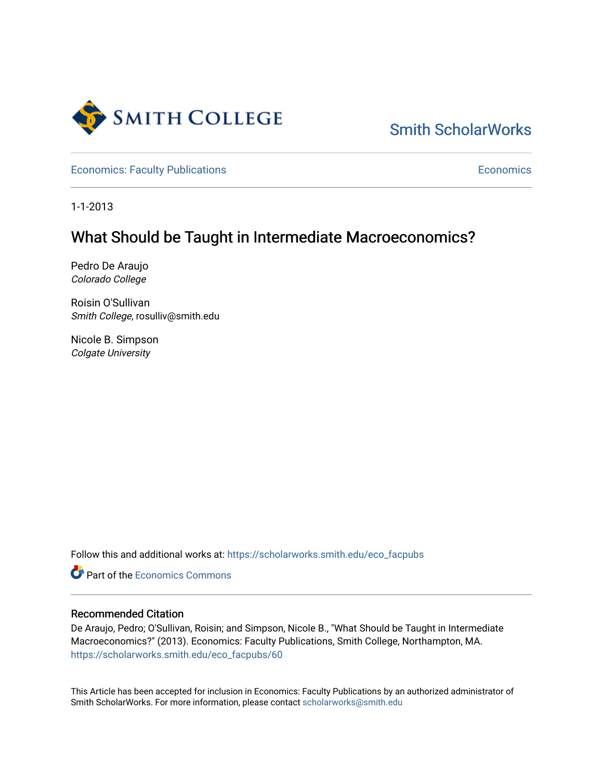

# [Smith ScholarWorks](https://scholarworks.smith.edu/)

[Economics: Faculty Publications](https://scholarworks.smith.edu/eco_facpubs) **Economics** [Economics](https://scholarworks.smith.edu/eco) **Economics** 

1-1-2013

## What Should be Taught in Intermediate Macroeconomics?

Pedro De Araujo Colorado College

Roisin O'Sullivan Smith College, rosulliv@smith.edu

Nicole B. Simpson Colgate University

Follow this and additional works at: [https://scholarworks.smith.edu/eco\\_facpubs](https://scholarworks.smith.edu/eco_facpubs?utm_source=scholarworks.smith.edu%2Feco_facpubs%2F60&utm_medium=PDF&utm_campaign=PDFCoverPages) 

**C** Part of the [Economics Commons](https://network.bepress.com/hgg/discipline/340?utm_source=scholarworks.smith.edu%2Feco_facpubs%2F60&utm_medium=PDF&utm_campaign=PDFCoverPages)

## Recommended Citation

De Araujo, Pedro; O'Sullivan, Roisin; and Simpson, Nicole B., "What Should be Taught in Intermediate Macroeconomics?" (2013). Economics: Faculty Publications, Smith College, Northampton, MA. [https://scholarworks.smith.edu/eco\\_facpubs/60](https://scholarworks.smith.edu/eco_facpubs/60?utm_source=scholarworks.smith.edu%2Feco_facpubs%2F60&utm_medium=PDF&utm_campaign=PDFCoverPages)

This Article has been accepted for inclusion in Economics: Faculty Publications by an authorized administrator of Smith ScholarWorks. For more information, please contact [scholarworks@smith.edu](mailto:scholarworks@smith.edu)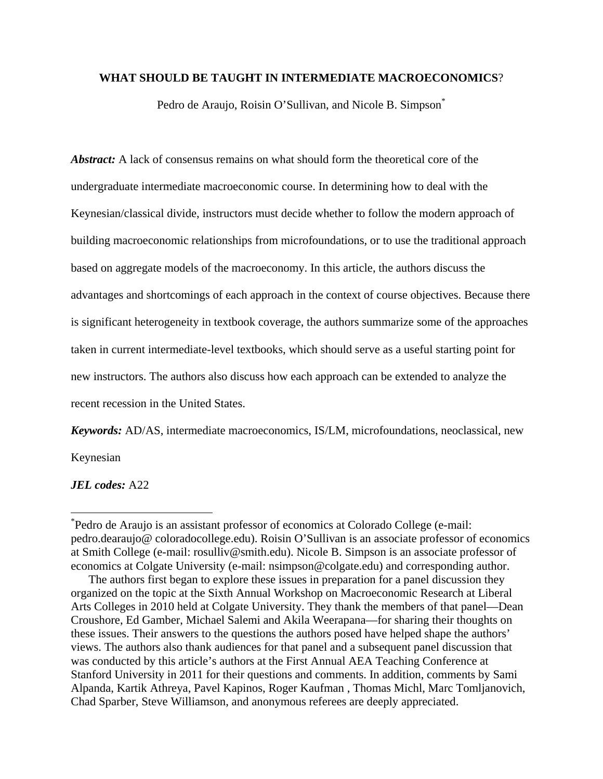## **WHAT SHOULD BE TAUGHT IN INTERMEDIATE MACROECONOMICS**?

Pedro de Araujo, Roisin O'Sullivan, and Nicole B. Simpson<sup>\*</sup>

*Abstract:* A lack of consensus remains on what should form the theoretical core of the undergraduate intermediate macroeconomic course. In determining how to deal with the Keynesian/classical divide, instructors must decide whether to follow the modern approach of building macroeconomic relationships from microfoundations, or to use the traditional approach based on aggregate models of the macroeconomy. In this article, the authors discuss the advantages and shortcomings of each approach in the context of course objectives. Because there is significant heterogeneity in textbook coverage, the authors summarize some of the approaches taken in current intermediate-level textbooks, which should serve as a useful starting point for new instructors. The authors also discuss how each approach can be extended to analyze the recent recession in the United States.

*Keywords:* AD/AS, intermediate macroeconomics, IS/LM, microfoundations, neoclassical, new

Keynesian

 $\overline{a}$ 

*JEL codes:* A22

<sup>\*</sup> Pedro de Araujo is an assistant professor of economics at Colorado College (e-mail: pedro.dearaujo@ coloradocollege.edu). Roisin O'Sullivan is an associate professor of economics at Smith College (e-mail: rosulliv@smith.edu). Nicole B. Simpson is an associate professor of economics at Colgate University (e-mail: nsimpson@colgate.edu) and corresponding author.

The authors first began to explore these issues in preparation for a panel discussion they organized on the topic at the Sixth Annual Workshop on Macroeconomic Research at Liberal Arts Colleges in 2010 held at Colgate University. They thank the members of that panel—Dean Croushore, Ed Gamber, Michael Salemi and Akila Weerapana—for sharing their thoughts on these issues. Their answers to the questions the authors posed have helped shape the authors' views. The authors also thank audiences for that panel and a subsequent panel discussion that was conducted by this article's authors at the First Annual AEA Teaching Conference at Stanford University in 2011 for their questions and comments. In addition, comments by Sami Alpanda, Kartik Athreya, Pavel Kapinos, Roger Kaufman , Thomas Michl, Marc Tomljanovich, Chad Sparber, Steve Williamson, and anonymous referees are deeply appreciated.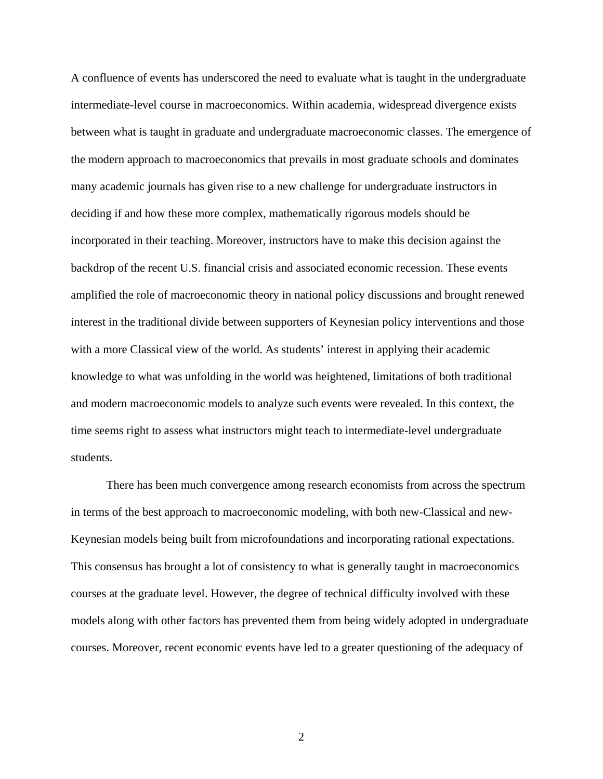A confluence of events has underscored the need to evaluate what is taught in the undergraduate intermediate-level course in macroeconomics. Within academia, widespread divergence exists between what is taught in graduate and undergraduate macroeconomic classes. The emergence of the modern approach to macroeconomics that prevails in most graduate schools and dominates many academic journals has given rise to a new challenge for undergraduate instructors in deciding if and how these more complex, mathematically rigorous models should be incorporated in their teaching. Moreover, instructors have to make this decision against the backdrop of the recent U.S. financial crisis and associated economic recession. These events amplified the role of macroeconomic theory in national policy discussions and brought renewed interest in the traditional divide between supporters of Keynesian policy interventions and those with a more Classical view of the world. As students' interest in applying their academic knowledge to what was unfolding in the world was heightened, limitations of both traditional and modern macroeconomic models to analyze such events were revealed. In this context, the time seems right to assess what instructors might teach to intermediate-level undergraduate students.

There has been much convergence among research economists from across the spectrum in terms of the best approach to macroeconomic modeling, with both new-Classical and new-Keynesian models being built from microfoundations and incorporating rational expectations. This consensus has brought a lot of consistency to what is generally taught in macroeconomics courses at the graduate level. However, the degree of technical difficulty involved with these models along with other factors has prevented them from being widely adopted in undergraduate courses. Moreover, recent economic events have led to a greater questioning of the adequacy of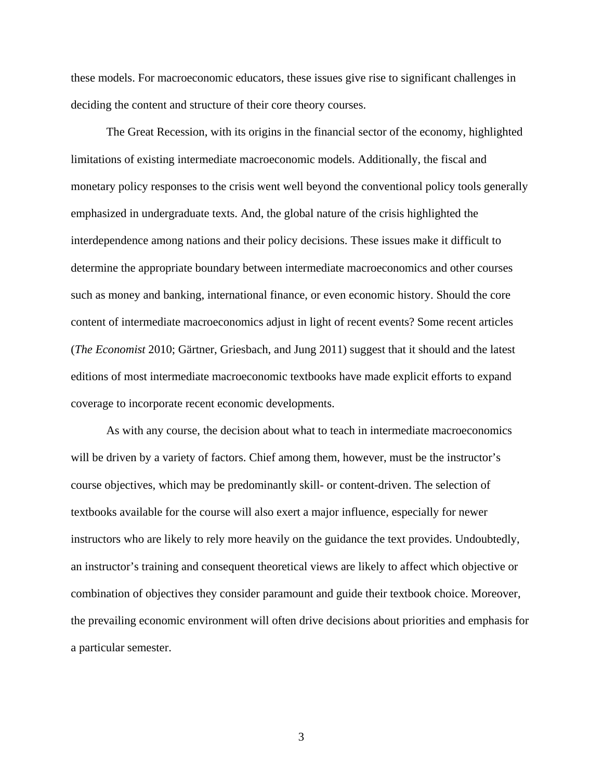these models. For macroeconomic educators, these issues give rise to significant challenges in deciding the content and structure of their core theory courses.

The Great Recession, with its origins in the financial sector of the economy, highlighted limitations of existing intermediate macroeconomic models. Additionally, the fiscal and monetary policy responses to the crisis went well beyond the conventional policy tools generally emphasized in undergraduate texts. And, the global nature of the crisis highlighted the interdependence among nations and their policy decisions. These issues make it difficult to determine the appropriate boundary between intermediate macroeconomics and other courses such as money and banking, international finance, or even economic history. Should the core content of intermediate macroeconomics adjust in light of recent events? Some recent articles (*The Economist* 2010; Gärtner, Griesbach, and Jung 2011) suggest that it should and the latest editions of most intermediate macroeconomic textbooks have made explicit efforts to expand coverage to incorporate recent economic developments.

As with any course, the decision about what to teach in intermediate macroeconomics will be driven by a variety of factors. Chief among them, however, must be the instructor's course objectives, which may be predominantly skill- or content-driven. The selection of textbooks available for the course will also exert a major influence, especially for newer instructors who are likely to rely more heavily on the guidance the text provides. Undoubtedly, an instructor's training and consequent theoretical views are likely to affect which objective or combination of objectives they consider paramount and guide their textbook choice. Moreover, the prevailing economic environment will often drive decisions about priorities and emphasis for a particular semester.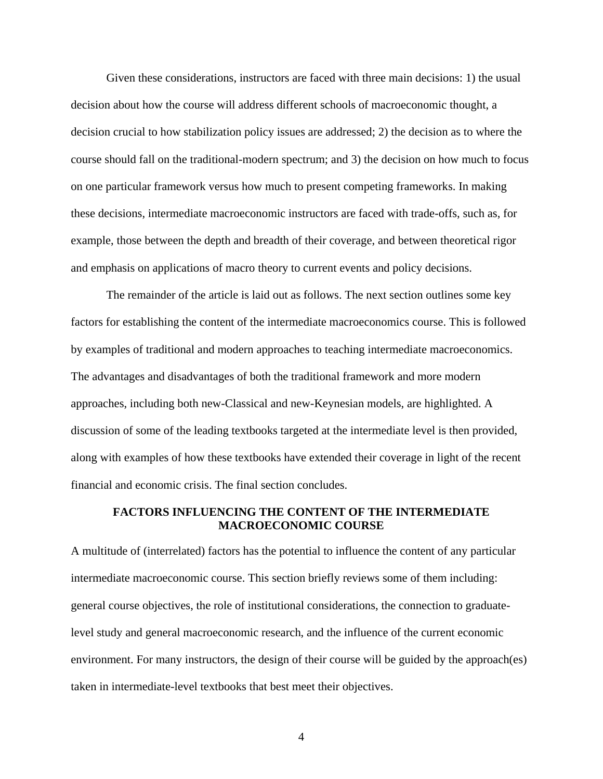Given these considerations, instructors are faced with three main decisions: 1) the usual decision about how the course will address different schools of macroeconomic thought, a decision crucial to how stabilization policy issues are addressed; 2) the decision as to where the course should fall on the traditional-modern spectrum; and 3) the decision on how much to focus on one particular framework versus how much to present competing frameworks. In making these decisions, intermediate macroeconomic instructors are faced with trade-offs, such as, for example, those between the depth and breadth of their coverage, and between theoretical rigor and emphasis on applications of macro theory to current events and policy decisions.

The remainder of the article is laid out as follows. The next section outlines some key factors for establishing the content of the intermediate macroeconomics course. This is followed by examples of traditional and modern approaches to teaching intermediate macroeconomics. The advantages and disadvantages of both the traditional framework and more modern approaches, including both new-Classical and new-Keynesian models, are highlighted. A discussion of some of the leading textbooks targeted at the intermediate level is then provided, along with examples of how these textbooks have extended their coverage in light of the recent financial and economic crisis. The final section concludes.

## **FACTORS INFLUENCING THE CONTENT OF THE INTERMEDIATE MACROECONOMIC COURSE**

A multitude of (interrelated) factors has the potential to influence the content of any particular intermediate macroeconomic course. This section briefly reviews some of them including: general course objectives, the role of institutional considerations, the connection to graduatelevel study and general macroeconomic research, and the influence of the current economic environment. For many instructors, the design of their course will be guided by the approach(es) taken in intermediate-level textbooks that best meet their objectives.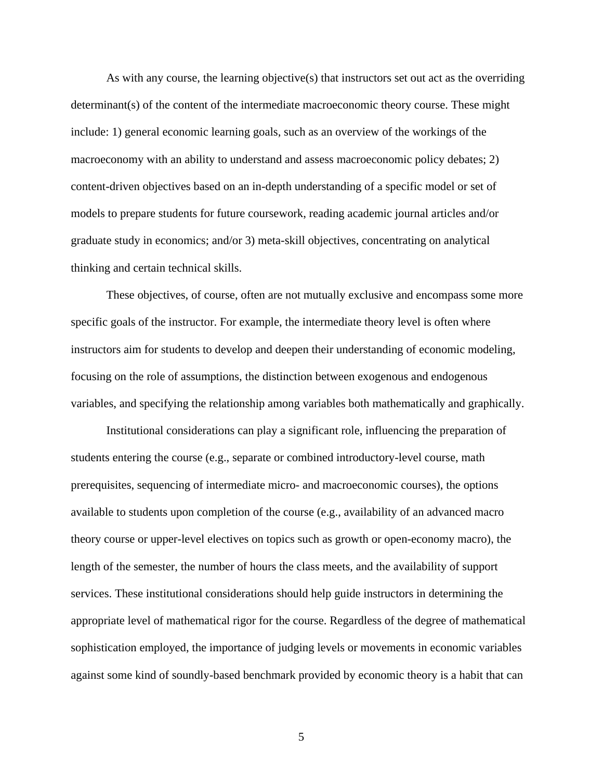As with any course, the learning objective(s) that instructors set out act as the overriding determinant(s) of the content of the intermediate macroeconomic theory course. These might include: 1) general economic learning goals, such as an overview of the workings of the macroeconomy with an ability to understand and assess macroeconomic policy debates; 2) content-driven objectives based on an in-depth understanding of a specific model or set of models to prepare students for future coursework, reading academic journal articles and/or graduate study in economics; and/or 3) meta-skill objectives, concentrating on analytical thinking and certain technical skills.

These objectives, of course, often are not mutually exclusive and encompass some more specific goals of the instructor. For example, the intermediate theory level is often where instructors aim for students to develop and deepen their understanding of economic modeling, focusing on the role of assumptions, the distinction between exogenous and endogenous variables, and specifying the relationship among variables both mathematically and graphically.

Institutional considerations can play a significant role, influencing the preparation of students entering the course (e.g., separate or combined introductory-level course, math prerequisites, sequencing of intermediate micro- and macroeconomic courses), the options available to students upon completion of the course (e.g., availability of an advanced macro theory course or upper-level electives on topics such as growth or open-economy macro), the length of the semester, the number of hours the class meets, and the availability of support services. These institutional considerations should help guide instructors in determining the appropriate level of mathematical rigor for the course. Regardless of the degree of mathematical sophistication employed, the importance of judging levels or movements in economic variables against some kind of soundly-based benchmark provided by economic theory is a habit that can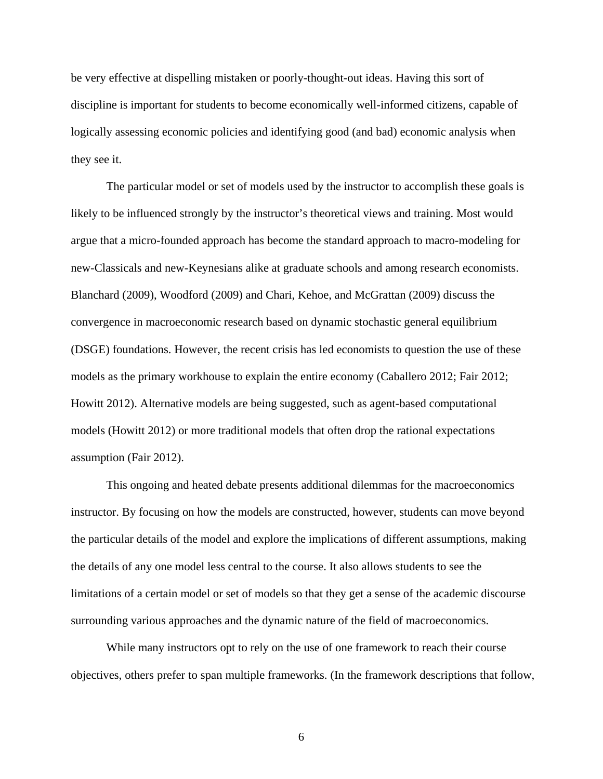be very effective at dispelling mistaken or poorly-thought-out ideas. Having this sort of discipline is important for students to become economically well-informed citizens, capable of logically assessing economic policies and identifying good (and bad) economic analysis when they see it.

The particular model or set of models used by the instructor to accomplish these goals is likely to be influenced strongly by the instructor's theoretical views and training. Most would argue that a micro-founded approach has become the standard approach to macro-modeling for new-Classicals and new-Keynesians alike at graduate schools and among research economists. Blanchard (2009), Woodford (2009) and Chari, Kehoe, and McGrattan (2009) discuss the convergence in macroeconomic research based on dynamic stochastic general equilibrium (DSGE) foundations. However, the recent crisis has led economists to question the use of these models as the primary workhouse to explain the entire economy (Caballero 2012; Fair 2012; Howitt 2012). Alternative models are being suggested, such as agent-based computational models (Howitt 2012) or more traditional models that often drop the rational expectations assumption (Fair 2012).

This ongoing and heated debate presents additional dilemmas for the macroeconomics instructor. By focusing on how the models are constructed, however, students can move beyond the particular details of the model and explore the implications of different assumptions, making the details of any one model less central to the course. It also allows students to see the limitations of a certain model or set of models so that they get a sense of the academic discourse surrounding various approaches and the dynamic nature of the field of macroeconomics.

While many instructors opt to rely on the use of one framework to reach their course objectives, others prefer to span multiple frameworks. (In the framework descriptions that follow,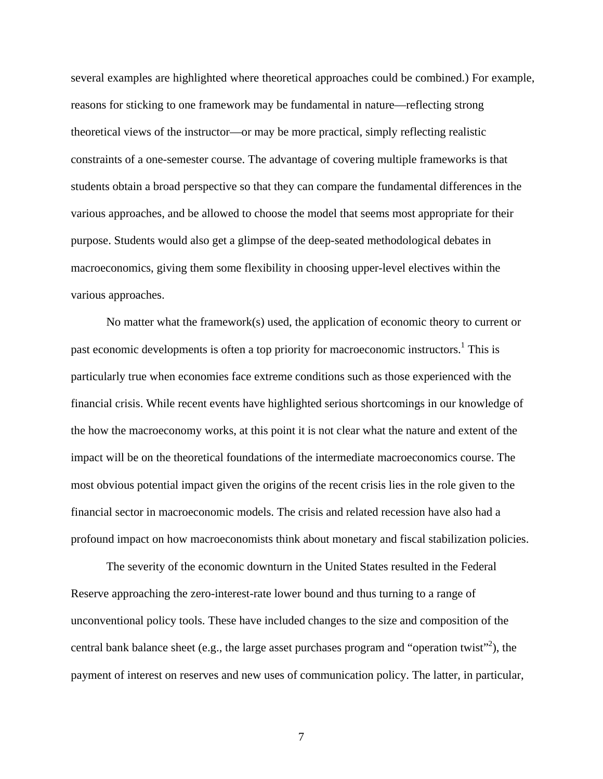several examples are highlighted where theoretical approaches could be combined.) For example, reasons for sticking to one framework may be fundamental in nature—reflecting strong theoretical views of the instructor—or may be more practical, simply reflecting realistic constraints of a one-semester course. The advantage of covering multiple frameworks is that students obtain a broad perspective so that they can compare the fundamental differences in the various approaches, and be allowed to choose the model that seems most appropriate for their purpose. Students would also get a glimpse of the deep-seated methodological debates in macroeconomics, giving them some flexibility in choosing upper-level electives within the various approaches.

No matter what the framework(s) used, the application of economic theory to current or past economic developments is often a top priority for macroeconomic instructors.<sup>1</sup> This is particularly true when economies face extreme conditions such as those experienced with the financial crisis. While recent events have highlighted serious shortcomings in our knowledge of the how the macroeconomy works, at this point it is not clear what the nature and extent of the impact will be on the theoretical foundations of the intermediate macroeconomics course. The most obvious potential impact given the origins of the recent crisis lies in the role given to the financial sector in macroeconomic models. The crisis and related recession have also had a profound impact on how macroeconomists think about monetary and fiscal stabilization policies.

The severity of the economic downturn in the United States resulted in the Federal Reserve approaching the zero-interest-rate lower bound and thus turning to a range of unconventional policy tools. These have included changes to the size and composition of the central bank balance sheet (e.g., the large asset purchases program and "operation twist"<sup>2</sup>), the payment of interest on reserves and new uses of communication policy. The latter, in particular,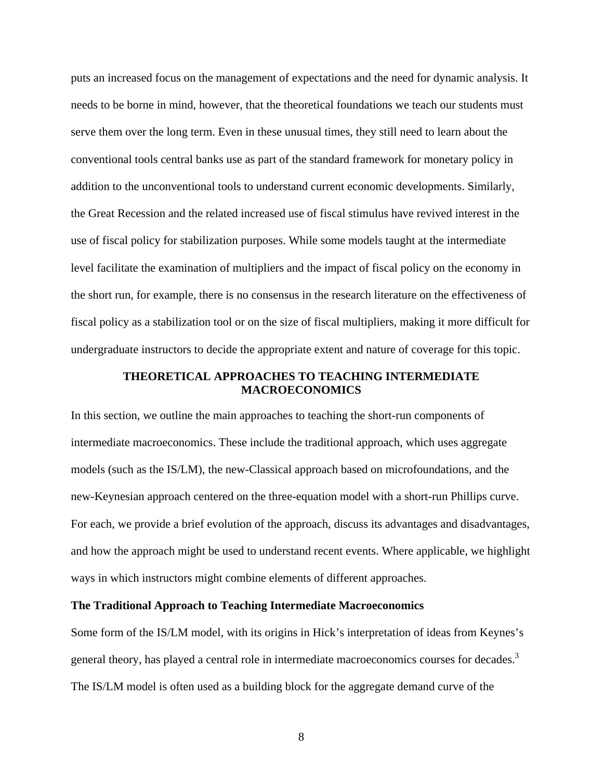puts an increased focus on the management of expectations and the need for dynamic analysis. It needs to be borne in mind, however, that the theoretical foundations we teach our students must serve them over the long term. Even in these unusual times, they still need to learn about the conventional tools central banks use as part of the standard framework for monetary policy in addition to the unconventional tools to understand current economic developments. Similarly, the Great Recession and the related increased use of fiscal stimulus have revived interest in the use of fiscal policy for stabilization purposes. While some models taught at the intermediate level facilitate the examination of multipliers and the impact of fiscal policy on the economy in the short run, for example, there is no consensus in the research literature on the effectiveness of fiscal policy as a stabilization tool or on the size of fiscal multipliers, making it more difficult for undergraduate instructors to decide the appropriate extent and nature of coverage for this topic.

## **THEORETICAL APPROACHES TO TEACHING INTERMEDIATE MACROECONOMICS**

In this section, we outline the main approaches to teaching the short-run components of intermediate macroeconomics. These include the traditional approach, which uses aggregate models (such as the IS/LM), the new-Classical approach based on microfoundations, and the new-Keynesian approach centered on the three-equation model with a short-run Phillips curve. For each, we provide a brief evolution of the approach, discuss its advantages and disadvantages, and how the approach might be used to understand recent events. Where applicable, we highlight ways in which instructors might combine elements of different approaches.

## **The Traditional Approach to Teaching Intermediate Macroeconomics**

Some form of the IS/LM model, with its origins in Hick's interpretation of ideas from Keynes's general theory, has played a central role in intermediate macroeconomics courses for decades.<sup>3</sup> The IS/LM model is often used as a building block for the aggregate demand curve of the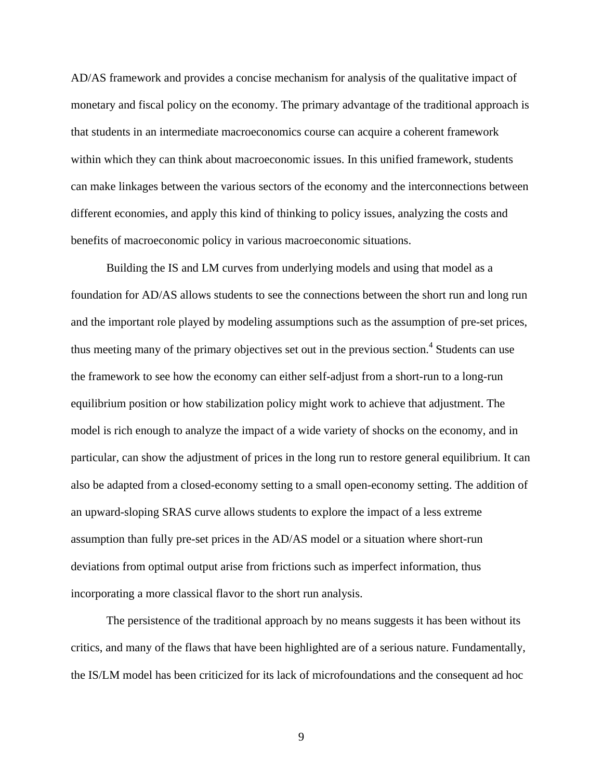AD/AS framework and provides a concise mechanism for analysis of the qualitative impact of monetary and fiscal policy on the economy. The primary advantage of the traditional approach is that students in an intermediate macroeconomics course can acquire a coherent framework within which they can think about macroeconomic issues. In this unified framework, students can make linkages between the various sectors of the economy and the interconnections between different economies, and apply this kind of thinking to policy issues, analyzing the costs and benefits of macroeconomic policy in various macroeconomic situations.

Building the IS and LM curves from underlying models and using that model as a foundation for AD/AS allows students to see the connections between the short run and long run and the important role played by modeling assumptions such as the assumption of pre-set prices, thus meeting many of the primary objectives set out in the previous section.<sup>4</sup> Students can use the framework to see how the economy can either self-adjust from a short-run to a long-run equilibrium position or how stabilization policy might work to achieve that adjustment. The model is rich enough to analyze the impact of a wide variety of shocks on the economy, and in particular, can show the adjustment of prices in the long run to restore general equilibrium. It can also be adapted from a closed-economy setting to a small open-economy setting. The addition of an upward-sloping SRAS curve allows students to explore the impact of a less extreme assumption than fully pre-set prices in the AD/AS model or a situation where short-run deviations from optimal output arise from frictions such as imperfect information, thus incorporating a more classical flavor to the short run analysis.

The persistence of the traditional approach by no means suggests it has been without its critics, and many of the flaws that have been highlighted are of a serious nature. Fundamentally, the IS/LM model has been criticized for its lack of microfoundations and the consequent ad hoc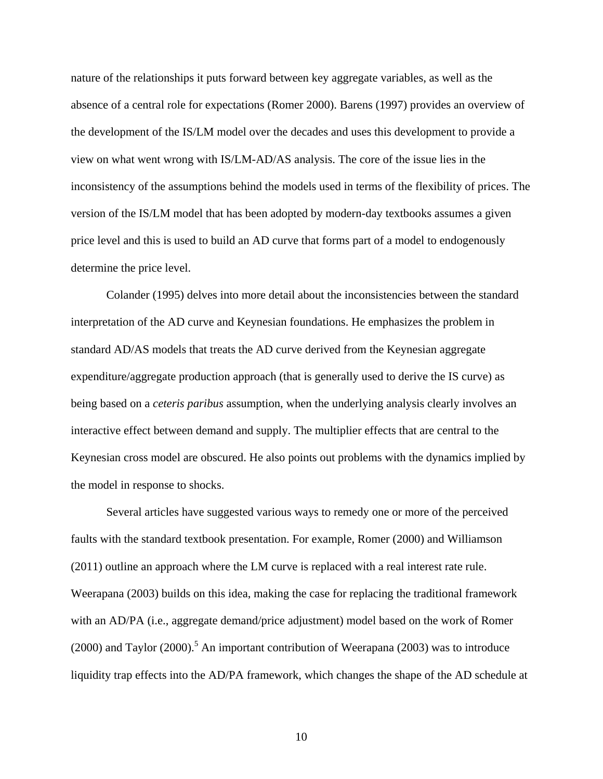nature of the relationships it puts forward between key aggregate variables, as well as the absence of a central role for expectations (Romer 2000). Barens (1997) provides an overview of the development of the IS/LM model over the decades and uses this development to provide a view on what went wrong with IS/LM-AD/AS analysis. The core of the issue lies in the inconsistency of the assumptions behind the models used in terms of the flexibility of prices. The version of the IS/LM model that has been adopted by modern-day textbooks assumes a given price level and this is used to build an AD curve that forms part of a model to endogenously determine the price level.

Colander (1995) delves into more detail about the inconsistencies between the standard interpretation of the AD curve and Keynesian foundations. He emphasizes the problem in standard AD/AS models that treats the AD curve derived from the Keynesian aggregate expenditure/aggregate production approach (that is generally used to derive the IS curve) as being based on a *ceteris paribus* assumption, when the underlying analysis clearly involves an interactive effect between demand and supply. The multiplier effects that are central to the Keynesian cross model are obscured. He also points out problems with the dynamics implied by the model in response to shocks.

Several articles have suggested various ways to remedy one or more of the perceived faults with the standard textbook presentation. For example, Romer (2000) and Williamson (2011) outline an approach where the LM curve is replaced with a real interest rate rule. Weerapana (2003) builds on this idea, making the case for replacing the traditional framework with an AD/PA (i.e., aggregate demand/price adjustment) model based on the work of Romer  $(2000)$  and Taylor  $(2000)$ .<sup>5</sup> An important contribution of Weerapana  $(2003)$  was to introduce liquidity trap effects into the AD/PA framework, which changes the shape of the AD schedule at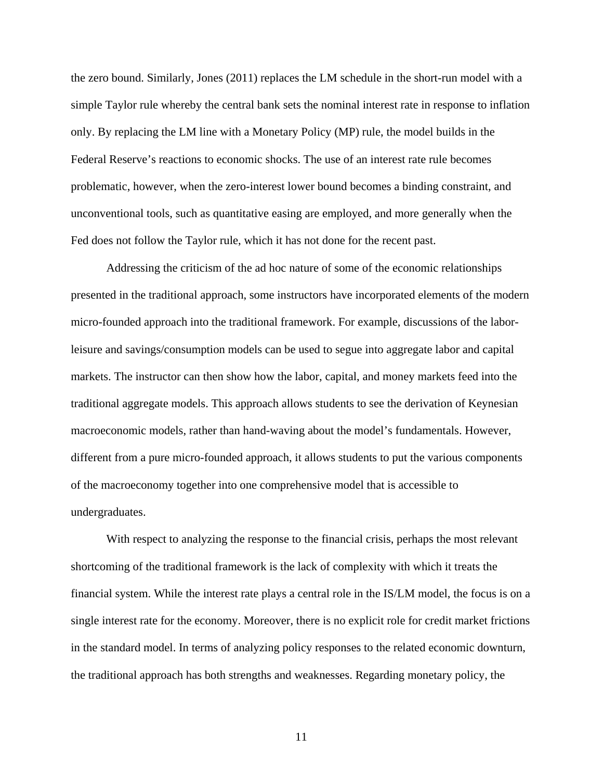the zero bound. Similarly, Jones (2011) replaces the LM schedule in the short-run model with a simple Taylor rule whereby the central bank sets the nominal interest rate in response to inflation only. By replacing the LM line with a Monetary Policy (MP) rule, the model builds in the Federal Reserve's reactions to economic shocks. The use of an interest rate rule becomes problematic, however, when the zero-interest lower bound becomes a binding constraint, and unconventional tools, such as quantitative easing are employed, and more generally when the Fed does not follow the Taylor rule, which it has not done for the recent past.

Addressing the criticism of the ad hoc nature of some of the economic relationships presented in the traditional approach, some instructors have incorporated elements of the modern micro-founded approach into the traditional framework. For example, discussions of the laborleisure and savings/consumption models can be used to segue into aggregate labor and capital markets. The instructor can then show how the labor, capital, and money markets feed into the traditional aggregate models. This approach allows students to see the derivation of Keynesian macroeconomic models, rather than hand-waving about the model's fundamentals. However, different from a pure micro-founded approach, it allows students to put the various components of the macroeconomy together into one comprehensive model that is accessible to undergraduates.

With respect to analyzing the response to the financial crisis, perhaps the most relevant shortcoming of the traditional framework is the lack of complexity with which it treats the financial system. While the interest rate plays a central role in the IS/LM model, the focus is on a single interest rate for the economy. Moreover, there is no explicit role for credit market frictions in the standard model. In terms of analyzing policy responses to the related economic downturn, the traditional approach has both strengths and weaknesses. Regarding monetary policy, the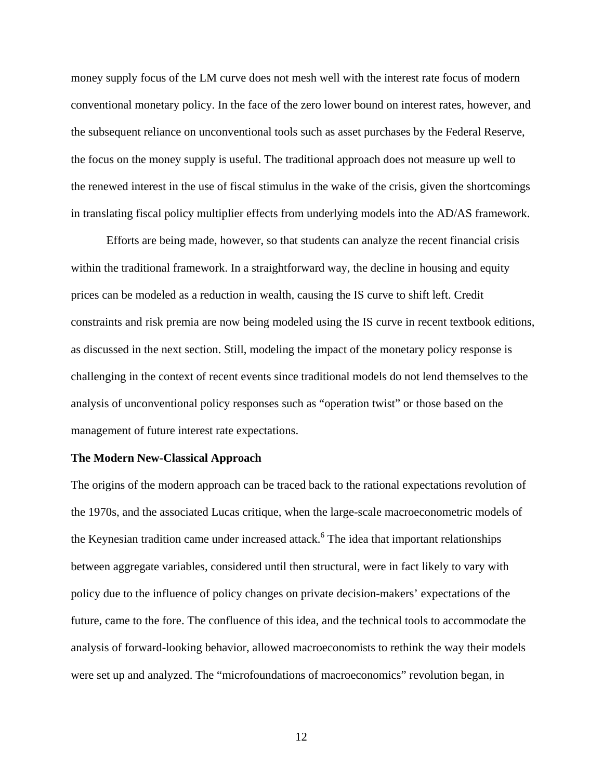money supply focus of the LM curve does not mesh well with the interest rate focus of modern conventional monetary policy. In the face of the zero lower bound on interest rates, however, and the subsequent reliance on unconventional tools such as asset purchases by the Federal Reserve, the focus on the money supply is useful. The traditional approach does not measure up well to the renewed interest in the use of fiscal stimulus in the wake of the crisis, given the shortcomings in translating fiscal policy multiplier effects from underlying models into the AD/AS framework.

Efforts are being made, however, so that students can analyze the recent financial crisis within the traditional framework. In a straightforward way, the decline in housing and equity prices can be modeled as a reduction in wealth, causing the IS curve to shift left. Credit constraints and risk premia are now being modeled using the IS curve in recent textbook editions, as discussed in the next section. Still, modeling the impact of the monetary policy response is challenging in the context of recent events since traditional models do not lend themselves to the analysis of unconventional policy responses such as "operation twist" or those based on the management of future interest rate expectations.

#### **The Modern New-Classical Approach**

The origins of the modern approach can be traced back to the rational expectations revolution of the 1970s, and the associated Lucas critique, when the large-scale macroeconometric models of the Keynesian tradition came under increased attack.<sup>6</sup> The idea that important relationships between aggregate variables, considered until then structural, were in fact likely to vary with policy due to the influence of policy changes on private decision-makers' expectations of the future, came to the fore. The confluence of this idea, and the technical tools to accommodate the analysis of forward-looking behavior, allowed macroeconomists to rethink the way their models were set up and analyzed. The "microfoundations of macroeconomics" revolution began, in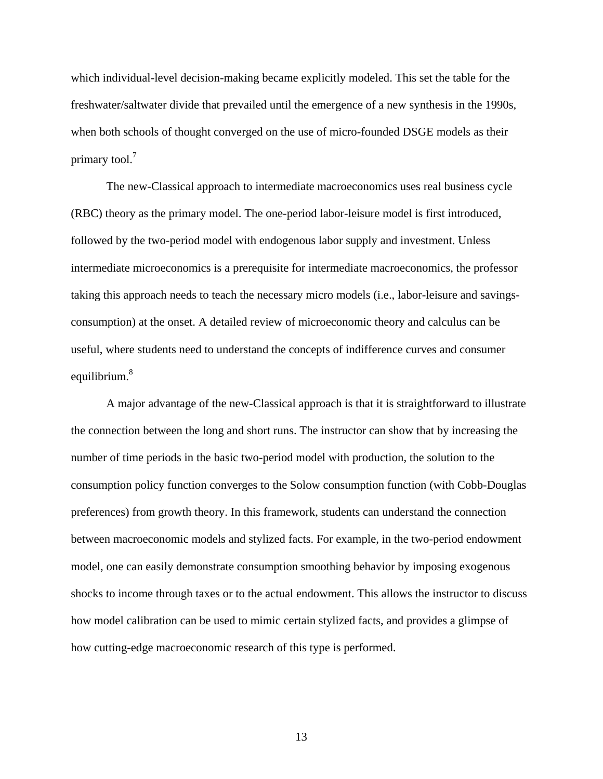which individual-level decision-making became explicitly modeled. This set the table for the freshwater/saltwater divide that prevailed until the emergence of a new synthesis in the 1990s, when both schools of thought converged on the use of micro-founded DSGE models as their primary tool.<sup>7</sup>

The new-Classical approach to intermediate macroeconomics uses real business cycle (RBC) theory as the primary model. The one-period labor-leisure model is first introduced, followed by the two-period model with endogenous labor supply and investment. Unless intermediate microeconomics is a prerequisite for intermediate macroeconomics, the professor taking this approach needs to teach the necessary micro models (i.e., labor-leisure and savingsconsumption) at the onset. A detailed review of microeconomic theory and calculus can be useful, where students need to understand the concepts of indifference curves and consumer equilibrium.<sup>8</sup>

A major advantage of the new-Classical approach is that it is straightforward to illustrate the connection between the long and short runs. The instructor can show that by increasing the number of time periods in the basic two-period model with production, the solution to the consumption policy function converges to the Solow consumption function (with Cobb-Douglas preferences) from growth theory. In this framework, students can understand the connection between macroeconomic models and stylized facts. For example, in the two-period endowment model, one can easily demonstrate consumption smoothing behavior by imposing exogenous shocks to income through taxes or to the actual endowment. This allows the instructor to discuss how model calibration can be used to mimic certain stylized facts, and provides a glimpse of how cutting-edge macroeconomic research of this type is performed.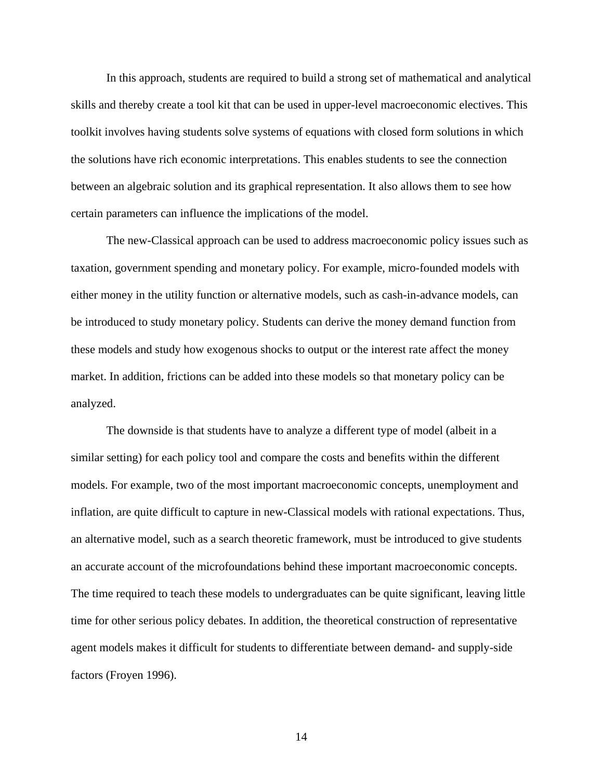In this approach, students are required to build a strong set of mathematical and analytical skills and thereby create a tool kit that can be used in upper-level macroeconomic electives. This toolkit involves having students solve systems of equations with closed form solutions in which the solutions have rich economic interpretations. This enables students to see the connection between an algebraic solution and its graphical representation. It also allows them to see how certain parameters can influence the implications of the model.

The new-Classical approach can be used to address macroeconomic policy issues such as taxation, government spending and monetary policy. For example, micro-founded models with either money in the utility function or alternative models, such as cash-in-advance models, can be introduced to study monetary policy. Students can derive the money demand function from these models and study how exogenous shocks to output or the interest rate affect the money market. In addition, frictions can be added into these models so that monetary policy can be analyzed.

The downside is that students have to analyze a different type of model (albeit in a similar setting) for each policy tool and compare the costs and benefits within the different models. For example, two of the most important macroeconomic concepts, unemployment and inflation, are quite difficult to capture in new-Classical models with rational expectations. Thus, an alternative model, such as a search theoretic framework, must be introduced to give students an accurate account of the microfoundations behind these important macroeconomic concepts. The time required to teach these models to undergraduates can be quite significant, leaving little time for other serious policy debates. In addition, the theoretical construction of representative agent models makes it difficult for students to differentiate between demand- and supply-side factors (Froyen 1996).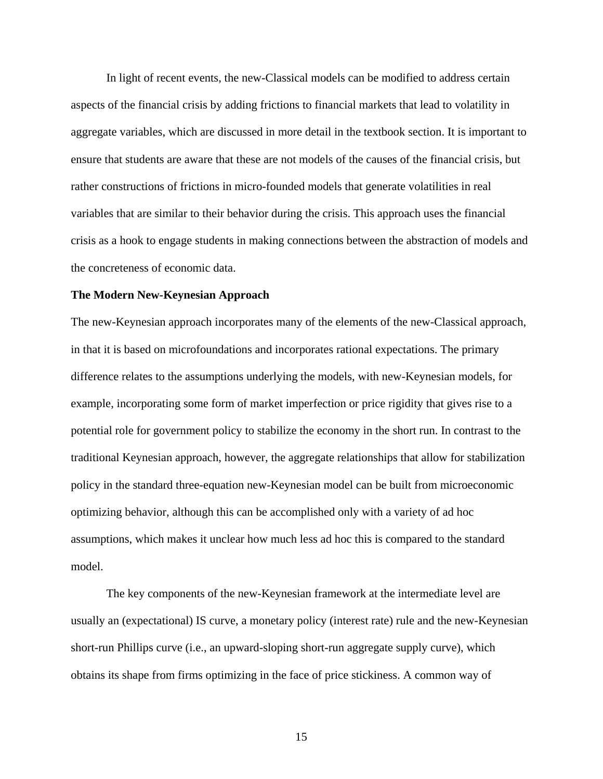In light of recent events, the new-Classical models can be modified to address certain aspects of the financial crisis by adding frictions to financial markets that lead to volatility in aggregate variables, which are discussed in more detail in the textbook section. It is important to ensure that students are aware that these are not models of the causes of the financial crisis, but rather constructions of frictions in micro-founded models that generate volatilities in real variables that are similar to their behavior during the crisis. This approach uses the financial crisis as a hook to engage students in making connections between the abstraction of models and the concreteness of economic data.

#### **The Modern New-Keynesian Approach**

The new-Keynesian approach incorporates many of the elements of the new-Classical approach, in that it is based on microfoundations and incorporates rational expectations. The primary difference relates to the assumptions underlying the models, with new-Keynesian models, for example, incorporating some form of market imperfection or price rigidity that gives rise to a potential role for government policy to stabilize the economy in the short run. In contrast to the traditional Keynesian approach, however, the aggregate relationships that allow for stabilization policy in the standard three-equation new-Keynesian model can be built from microeconomic optimizing behavior, although this can be accomplished only with a variety of ad hoc assumptions, which makes it unclear how much less ad hoc this is compared to the standard model.

The key components of the new-Keynesian framework at the intermediate level are usually an (expectational) IS curve, a monetary policy (interest rate) rule and the new-Keynesian short-run Phillips curve (i.e., an upward-sloping short-run aggregate supply curve), which obtains its shape from firms optimizing in the face of price stickiness. A common way of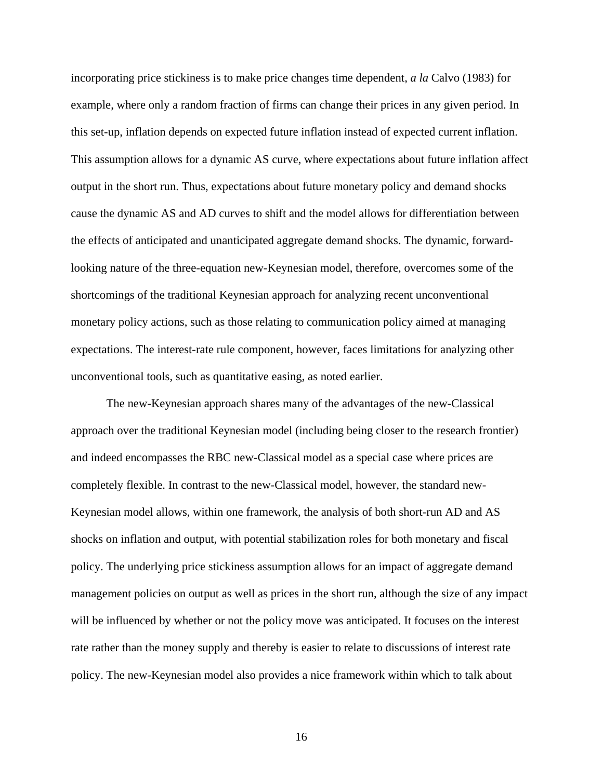incorporating price stickiness is to make price changes time dependent, *a la* Calvo (1983) for example, where only a random fraction of firms can change their prices in any given period. In this set-up, inflation depends on expected future inflation instead of expected current inflation. This assumption allows for a dynamic AS curve, where expectations about future inflation affect output in the short run. Thus, expectations about future monetary policy and demand shocks cause the dynamic AS and AD curves to shift and the model allows for differentiation between the effects of anticipated and unanticipated aggregate demand shocks. The dynamic, forwardlooking nature of the three-equation new-Keynesian model, therefore, overcomes some of the shortcomings of the traditional Keynesian approach for analyzing recent unconventional monetary policy actions, such as those relating to communication policy aimed at managing expectations. The interest-rate rule component, however, faces limitations for analyzing other unconventional tools, such as quantitative easing, as noted earlier.

The new-Keynesian approach shares many of the advantages of the new-Classical approach over the traditional Keynesian model (including being closer to the research frontier) and indeed encompasses the RBC new-Classical model as a special case where prices are completely flexible. In contrast to the new-Classical model, however, the standard new-Keynesian model allows, within one framework, the analysis of both short-run AD and AS shocks on inflation and output, with potential stabilization roles for both monetary and fiscal policy. The underlying price stickiness assumption allows for an impact of aggregate demand management policies on output as well as prices in the short run, although the size of any impact will be influenced by whether or not the policy move was anticipated. It focuses on the interest rate rather than the money supply and thereby is easier to relate to discussions of interest rate policy. The new-Keynesian model also provides a nice framework within which to talk about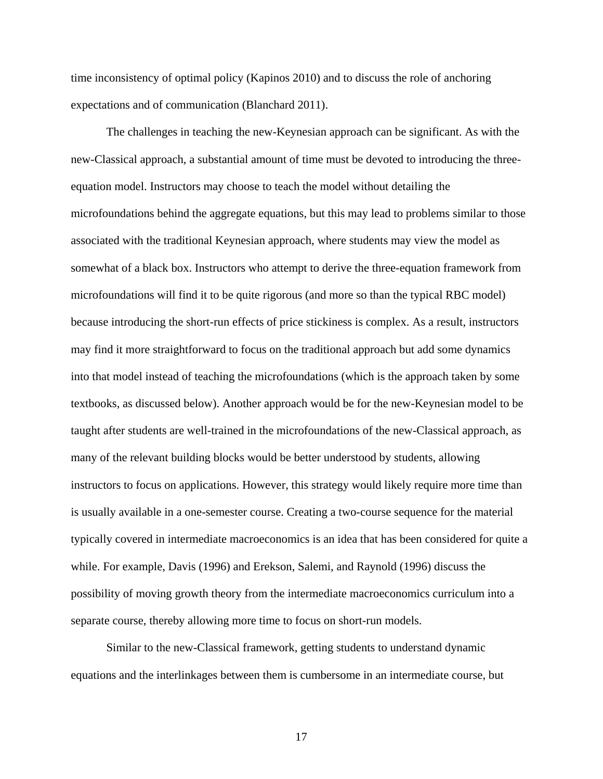time inconsistency of optimal policy (Kapinos 2010) and to discuss the role of anchoring expectations and of communication (Blanchard 2011).

The challenges in teaching the new-Keynesian approach can be significant. As with the new-Classical approach, a substantial amount of time must be devoted to introducing the threeequation model. Instructors may choose to teach the model without detailing the microfoundations behind the aggregate equations, but this may lead to problems similar to those associated with the traditional Keynesian approach, where students may view the model as somewhat of a black box. Instructors who attempt to derive the three-equation framework from microfoundations will find it to be quite rigorous (and more so than the typical RBC model) because introducing the short-run effects of price stickiness is complex. As a result, instructors may find it more straightforward to focus on the traditional approach but add some dynamics into that model instead of teaching the microfoundations (which is the approach taken by some textbooks, as discussed below). Another approach would be for the new-Keynesian model to be taught after students are well-trained in the microfoundations of the new-Classical approach, as many of the relevant building blocks would be better understood by students, allowing instructors to focus on applications. However, this strategy would likely require more time than is usually available in a one-semester course. Creating a two-course sequence for the material typically covered in intermediate macroeconomics is an idea that has been considered for quite a while. For example, Davis (1996) and Erekson, Salemi, and Raynold (1996) discuss the possibility of moving growth theory from the intermediate macroeconomics curriculum into a separate course, thereby allowing more time to focus on short-run models.

Similar to the new-Classical framework, getting students to understand dynamic equations and the interlinkages between them is cumbersome in an intermediate course, but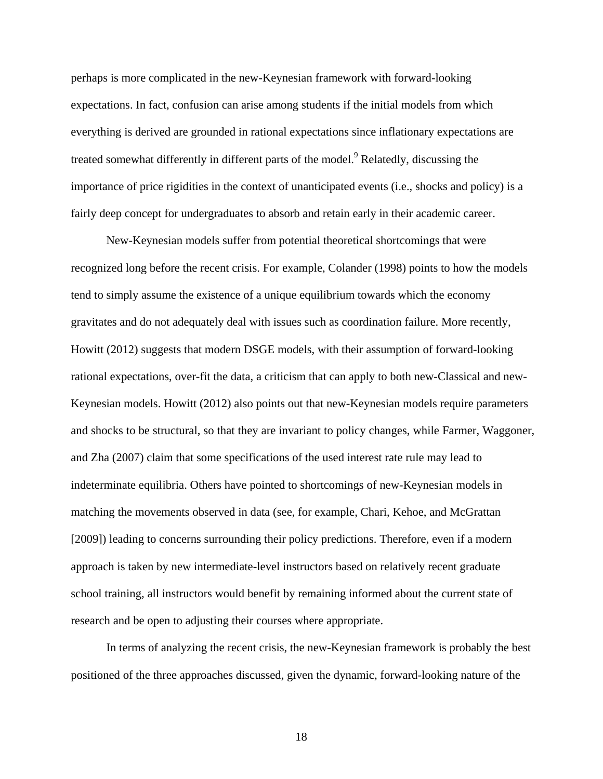perhaps is more complicated in the new-Keynesian framework with forward-looking expectations. In fact, confusion can arise among students if the initial models from which everything is derived are grounded in rational expectations since inflationary expectations are treated somewhat differently in different parts of the model.<sup>9</sup> Relatedly, discussing the importance of price rigidities in the context of unanticipated events (i.e., shocks and policy) is a fairly deep concept for undergraduates to absorb and retain early in their academic career.

New-Keynesian models suffer from potential theoretical shortcomings that were recognized long before the recent crisis. For example, Colander (1998) points to how the models tend to simply assume the existence of a unique equilibrium towards which the economy gravitates and do not adequately deal with issues such as coordination failure. More recently, Howitt (2012) suggests that modern DSGE models, with their assumption of forward-looking rational expectations, over-fit the data, a criticism that can apply to both new-Classical and new-Keynesian models. Howitt (2012) also points out that new-Keynesian models require parameters and shocks to be structural, so that they are invariant to policy changes, while Farmer, Waggoner, and Zha (2007) claim that some specifications of the used interest rate rule may lead to indeterminate equilibria. Others have pointed to shortcomings of new-Keynesian models in matching the movements observed in data (see, for example, Chari, Kehoe, and McGrattan [2009]) leading to concerns surrounding their policy predictions. Therefore, even if a modern approach is taken by new intermediate-level instructors based on relatively recent graduate school training, all instructors would benefit by remaining informed about the current state of research and be open to adjusting their courses where appropriate.

In terms of analyzing the recent crisis, the new-Keynesian framework is probably the best positioned of the three approaches discussed, given the dynamic, forward-looking nature of the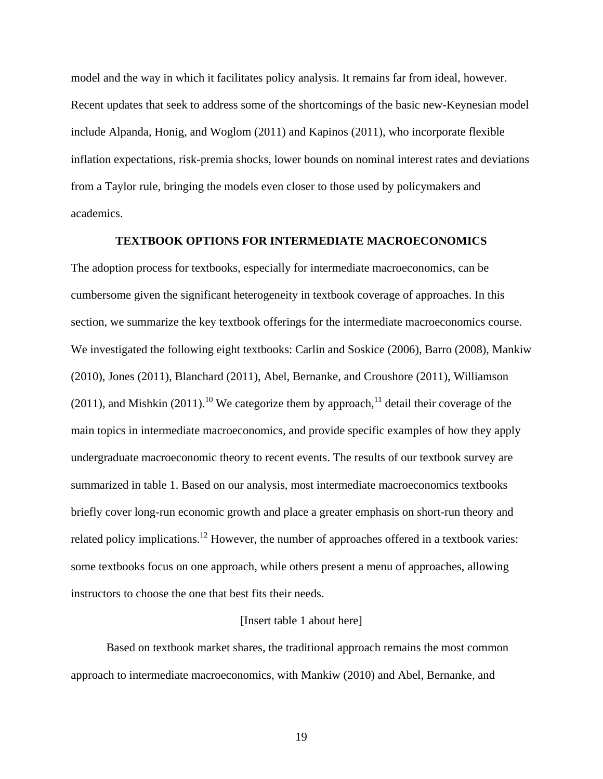model and the way in which it facilitates policy analysis. It remains far from ideal, however. Recent updates that seek to address some of the shortcomings of the basic new-Keynesian model include Alpanda, Honig, and Woglom (2011) and Kapinos (2011), who incorporate flexible inflation expectations, risk-premia shocks, lower bounds on nominal interest rates and deviations from a Taylor rule, bringing the models even closer to those used by policymakers and academics.

## **TEXTBOOK OPTIONS FOR INTERMEDIATE MACROECONOMICS**

The adoption process for textbooks, especially for intermediate macroeconomics, can be cumbersome given the significant heterogeneity in textbook coverage of approaches. In this section, we summarize the key textbook offerings for the intermediate macroeconomics course. We investigated the following eight textbooks: Carlin and Soskice (2006), Barro (2008), Mankiw (2010), Jones (2011), Blanchard (2011), Abel, Bernanke, and Croushore (2011), Williamson (2011), and Mishkin (2011).<sup>10</sup> We categorize them by approach,<sup>11</sup> detail their coverage of the main topics in intermediate macroeconomics, and provide specific examples of how they apply undergraduate macroeconomic theory to recent events. The results of our textbook survey are summarized in table 1. Based on our analysis, most intermediate macroeconomics textbooks briefly cover long-run economic growth and place a greater emphasis on short-run theory and related policy implications.<sup>12</sup> However, the number of approaches offered in a textbook varies: some textbooks focus on one approach, while others present a menu of approaches, allowing instructors to choose the one that best fits their needs.

#### [Insert table 1 about here]

Based on textbook market shares, the traditional approach remains the most common approach to intermediate macroeconomics, with Mankiw (2010) and Abel, Bernanke, and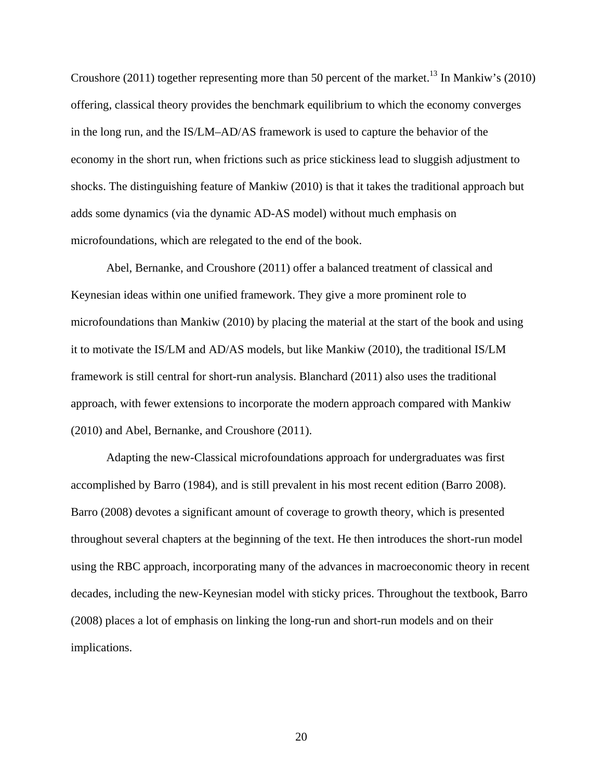Croushore (2011) together representing more than 50 percent of the market.<sup>13</sup> In Mankiw's (2010) offering, classical theory provides the benchmark equilibrium to which the economy converges in the long run, and the IS/LM–AD/AS framework is used to capture the behavior of the economy in the short run, when frictions such as price stickiness lead to sluggish adjustment to shocks. The distinguishing feature of Mankiw (2010) is that it takes the traditional approach but adds some dynamics (via the dynamic AD-AS model) without much emphasis on microfoundations, which are relegated to the end of the book.

Abel, Bernanke, and Croushore (2011) offer a balanced treatment of classical and Keynesian ideas within one unified framework. They give a more prominent role to microfoundations than Mankiw (2010) by placing the material at the start of the book and using it to motivate the IS/LM and AD/AS models, but like Mankiw (2010), the traditional IS/LM framework is still central for short-run analysis. Blanchard (2011) also uses the traditional approach, with fewer extensions to incorporate the modern approach compared with Mankiw (2010) and Abel, Bernanke, and Croushore (2011).

Adapting the new-Classical microfoundations approach for undergraduates was first accomplished by Barro (1984), and is still prevalent in his most recent edition (Barro 2008). Barro (2008) devotes a significant amount of coverage to growth theory, which is presented throughout several chapters at the beginning of the text. He then introduces the short-run model using the RBC approach, incorporating many of the advances in macroeconomic theory in recent decades, including the new-Keynesian model with sticky prices. Throughout the textbook, Barro (2008) places a lot of emphasis on linking the long-run and short-run models and on their implications.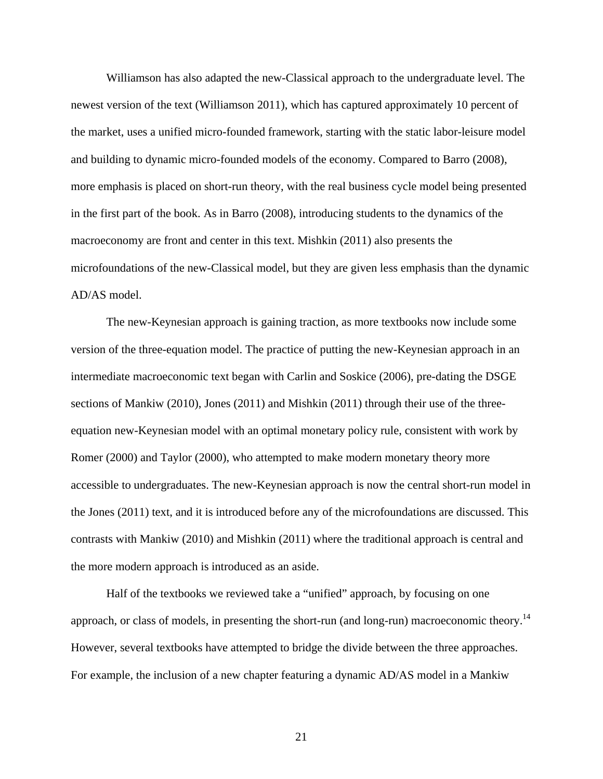Williamson has also adapted the new-Classical approach to the undergraduate level. The newest version of the text (Williamson 2011), which has captured approximately 10 percent of the market, uses a unified micro-founded framework, starting with the static labor-leisure model and building to dynamic micro-founded models of the economy. Compared to Barro (2008), more emphasis is placed on short-run theory, with the real business cycle model being presented in the first part of the book. As in Barro (2008), introducing students to the dynamics of the macroeconomy are front and center in this text. Mishkin (2011) also presents the microfoundations of the new-Classical model, but they are given less emphasis than the dynamic AD/AS model.

The new-Keynesian approach is gaining traction, as more textbooks now include some version of the three-equation model. The practice of putting the new-Keynesian approach in an intermediate macroeconomic text began with Carlin and Soskice (2006), pre-dating the DSGE sections of Mankiw (2010), Jones (2011) and Mishkin (2011) through their use of the threeequation new-Keynesian model with an optimal monetary policy rule, consistent with work by Romer (2000) and Taylor (2000), who attempted to make modern monetary theory more accessible to undergraduates. The new-Keynesian approach is now the central short-run model in the Jones (2011) text, and it is introduced before any of the microfoundations are discussed. This contrasts with Mankiw (2010) and Mishkin (2011) where the traditional approach is central and the more modern approach is introduced as an aside.

Half of the textbooks we reviewed take a "unified" approach, by focusing on one approach, or class of models, in presenting the short-run (and long-run) macroeconomic theory.<sup>14</sup> However, several textbooks have attempted to bridge the divide between the three approaches. For example, the inclusion of a new chapter featuring a dynamic AD/AS model in a Mankiw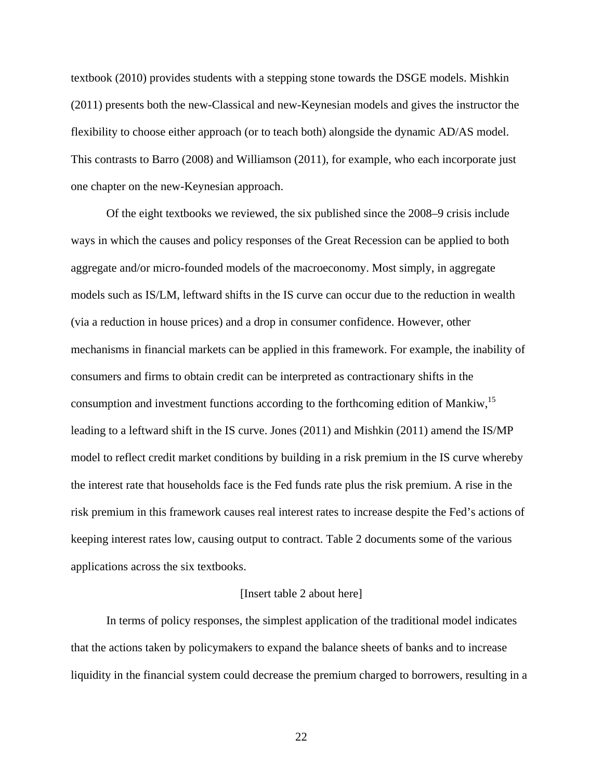textbook (2010) provides students with a stepping stone towards the DSGE models. Mishkin (2011) presents both the new-Classical and new-Keynesian models and gives the instructor the flexibility to choose either approach (or to teach both) alongside the dynamic AD/AS model. This contrasts to Barro (2008) and Williamson (2011), for example, who each incorporate just one chapter on the new-Keynesian approach.

Of the eight textbooks we reviewed, the six published since the 2008–9 crisis include ways in which the causes and policy responses of the Great Recession can be applied to both aggregate and/or micro-founded models of the macroeconomy. Most simply, in aggregate models such as IS/LM, leftward shifts in the IS curve can occur due to the reduction in wealth (via a reduction in house prices) and a drop in consumer confidence. However, other mechanisms in financial markets can be applied in this framework. For example, the inability of consumers and firms to obtain credit can be interpreted as contractionary shifts in the consumption and investment functions according to the forthcoming edition of Mankiw,<sup>15</sup> leading to a leftward shift in the IS curve. Jones (2011) and Mishkin (2011) amend the IS/MP model to reflect credit market conditions by building in a risk premium in the IS curve whereby the interest rate that households face is the Fed funds rate plus the risk premium. A rise in the risk premium in this framework causes real interest rates to increase despite the Fed's actions of keeping interest rates low, causing output to contract. Table 2 documents some of the various applications across the six textbooks.

#### [Insert table 2 about here]

In terms of policy responses, the simplest application of the traditional model indicates that the actions taken by policymakers to expand the balance sheets of banks and to increase liquidity in the financial system could decrease the premium charged to borrowers, resulting in a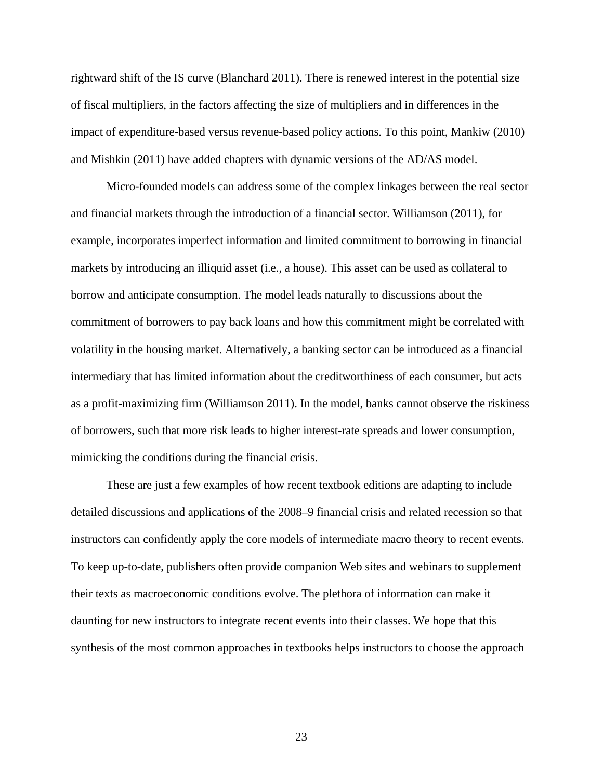rightward shift of the IS curve (Blanchard 2011). There is renewed interest in the potential size of fiscal multipliers, in the factors affecting the size of multipliers and in differences in the impact of expenditure-based versus revenue-based policy actions. To this point, Mankiw (2010) and Mishkin (2011) have added chapters with dynamic versions of the AD/AS model.

Micro-founded models can address some of the complex linkages between the real sector and financial markets through the introduction of a financial sector. Williamson (2011), for example, incorporates imperfect information and limited commitment to borrowing in financial markets by introducing an illiquid asset (i.e., a house). This asset can be used as collateral to borrow and anticipate consumption. The model leads naturally to discussions about the commitment of borrowers to pay back loans and how this commitment might be correlated with volatility in the housing market. Alternatively, a banking sector can be introduced as a financial intermediary that has limited information about the creditworthiness of each consumer, but acts as a profit-maximizing firm (Williamson 2011). In the model, banks cannot observe the riskiness of borrowers, such that more risk leads to higher interest-rate spreads and lower consumption, mimicking the conditions during the financial crisis.

These are just a few examples of how recent textbook editions are adapting to include detailed discussions and applications of the 2008–9 financial crisis and related recession so that instructors can confidently apply the core models of intermediate macro theory to recent events. To keep up-to-date, publishers often provide companion Web sites and webinars to supplement their texts as macroeconomic conditions evolve. The plethora of information can make it daunting for new instructors to integrate recent events into their classes. We hope that this synthesis of the most common approaches in textbooks helps instructors to choose the approach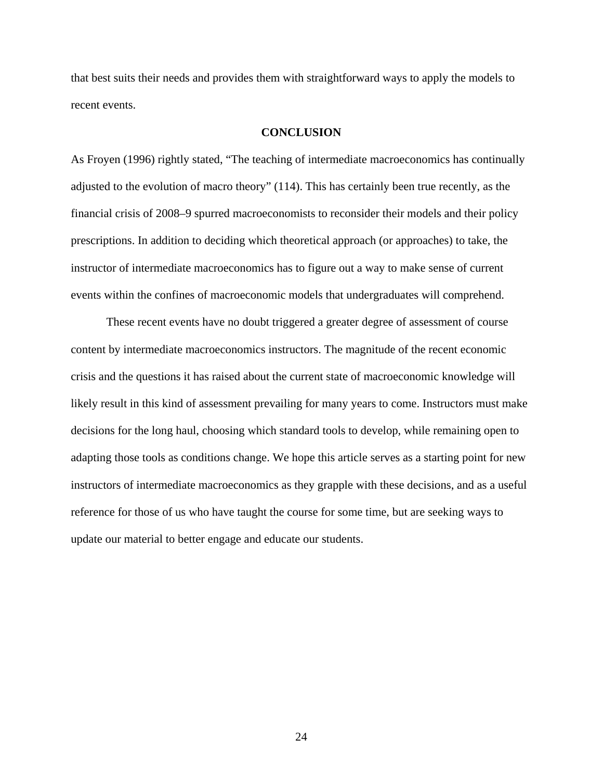that best suits their needs and provides them with straightforward ways to apply the models to recent events.

## **CONCLUSION**

As Froyen (1996) rightly stated, "The teaching of intermediate macroeconomics has continually adjusted to the evolution of macro theory" (114). This has certainly been true recently, as the financial crisis of 2008–9 spurred macroeconomists to reconsider their models and their policy prescriptions. In addition to deciding which theoretical approach (or approaches) to take, the instructor of intermediate macroeconomics has to figure out a way to make sense of current events within the confines of macroeconomic models that undergraduates will comprehend.

These recent events have no doubt triggered a greater degree of assessment of course content by intermediate macroeconomics instructors. The magnitude of the recent economic crisis and the questions it has raised about the current state of macroeconomic knowledge will likely result in this kind of assessment prevailing for many years to come. Instructors must make decisions for the long haul, choosing which standard tools to develop, while remaining open to adapting those tools as conditions change. We hope this article serves as a starting point for new instructors of intermediate macroeconomics as they grapple with these decisions, and as a useful reference for those of us who have taught the course for some time, but are seeking ways to update our material to better engage and educate our students.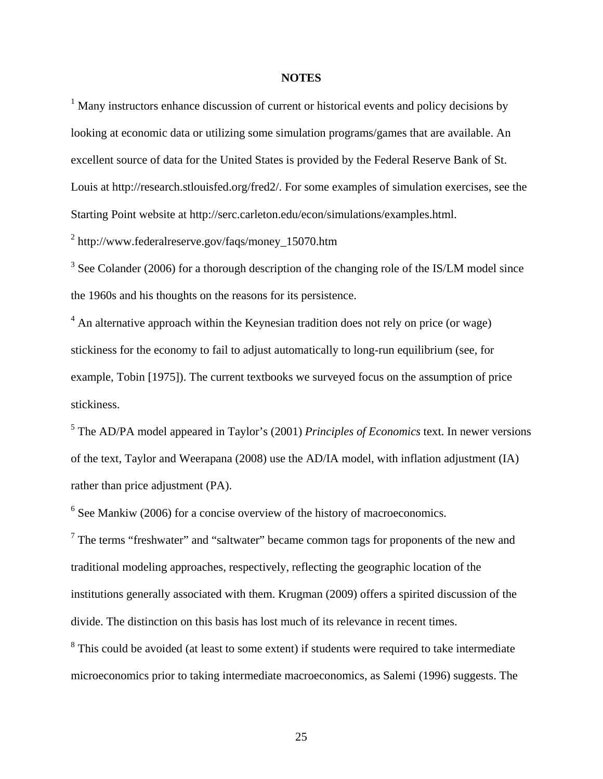### **NOTES**

<sup>1</sup> Many instructors enhance discussion of current or historical events and policy decisions by looking at economic data or utilizing some simulation programs/games that are available. An excellent source of data for the United States is provided by the Federal Reserve Bank of St. Louis at http://research.stlouisfed.org/fred2/. For some examples of simulation exercises, see the Starting Point website at http://serc.carleton.edu/econ/simulations/examples.html.

<sup>2</sup> http://www.federalreserve.gov/faqs/money\_15070.htm

 $3$  See Colander (2006) for a thorough description of the changing role of the IS/LM model since the 1960s and his thoughts on the reasons for its persistence.

 $4$  An alternative approach within the Keynesian tradition does not rely on price (or wage) stickiness for the economy to fail to adjust automatically to long-run equilibrium (see, for example, Tobin [1975]). The current textbooks we surveyed focus on the assumption of price stickiness.

5 The AD/PA model appeared in Taylor's (2001) *Principles of Economics* text. In newer versions of the text, Taylor and Weerapana (2008) use the AD/IA model, with inflation adjustment (IA) rather than price adjustment (PA).

 $6$  See Mankiw (2006) for a concise overview of the history of macroeconomics.

 $7$  The terms "freshwater" and "saltwater" became common tags for proponents of the new and traditional modeling approaches, respectively, reflecting the geographic location of the institutions generally associated with them. Krugman (2009) offers a spirited discussion of the divide. The distinction on this basis has lost much of its relevance in recent times.

<sup>8</sup> This could be avoided (at least to some extent) if students were required to take intermediate microeconomics prior to taking intermediate macroeconomics, as Salemi (1996) suggests. The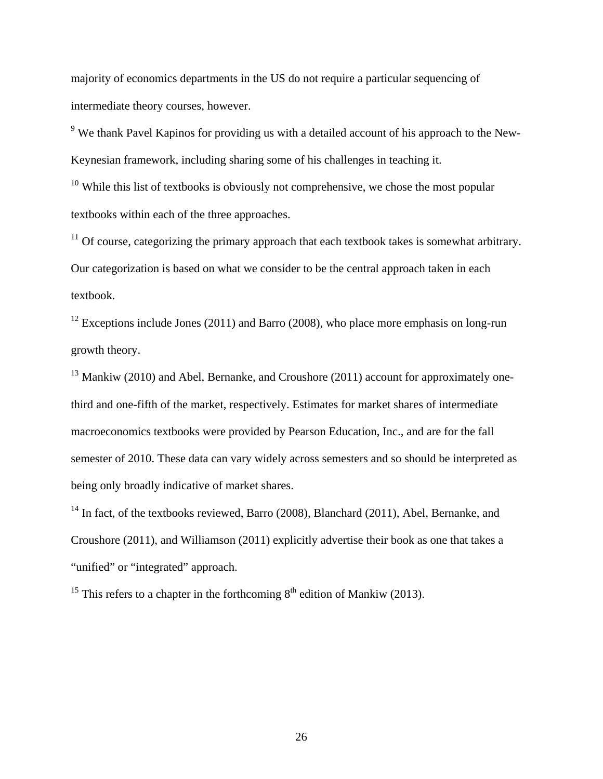majority of economics departments in the US do not require a particular sequencing of intermediate theory courses, however.

 $9$  We thank Pavel Kapinos for providing us with a detailed account of his approach to the New-Keynesian framework, including sharing some of his challenges in teaching it.

 $10$  While this list of textbooks is obviously not comprehensive, we chose the most popular textbooks within each of the three approaches.

 $11$  Of course, categorizing the primary approach that each textbook takes is somewhat arbitrary. Our categorization is based on what we consider to be the central approach taken in each textbook.

<sup>12</sup> Exceptions include Jones (2011) and Barro (2008), who place more emphasis on long-run growth theory.

 $13$  Mankiw (2010) and Abel, Bernanke, and Croushore (2011) account for approximately onethird and one-fifth of the market, respectively. Estimates for market shares of intermediate macroeconomics textbooks were provided by Pearson Education, Inc., and are for the fall semester of 2010. These data can vary widely across semesters and so should be interpreted as being only broadly indicative of market shares.

<sup>14</sup> In fact, of the textbooks reviewed, Barro (2008), Blanchard (2011), Abel, Bernanke, and Croushore (2011), and Williamson (2011) explicitly advertise their book as one that takes a "unified" or "integrated" approach.

<sup>15</sup> This refers to a chapter in the forthcoming  $8<sup>th</sup>$  edition of Mankiw (2013).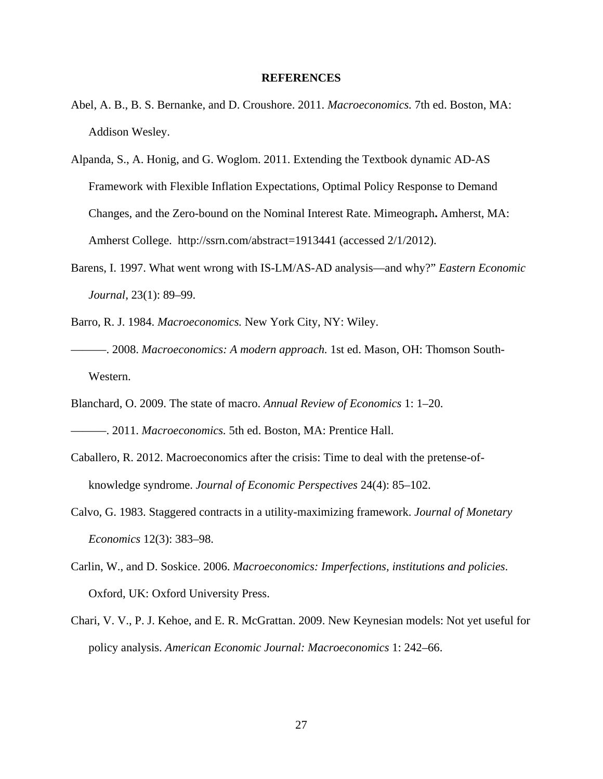#### **REFERENCES**

- Abel, A. B., B. S. Bernanke, and D. Croushore. 2011. *Macroeconomics.* 7th ed. Boston, MA: Addison Wesley.
- Alpanda, S., A. Honig, and G. Woglom. 2011. Extending the Textbook dynamic AD-AS Framework with Flexible Inflation Expectations, Optimal Policy Response to Demand Changes, and the Zero-bound on the Nominal Interest Rate. Mimeograph**.** Amherst, MA: Amherst College. http://ssrn.com/abstract=1913441 (accessed 2/1/2012).
- Barens, I. 1997. What went wrong with IS-LM/AS-AD analysis—and why?" *Eastern Economic Journal*, 23(1): 89–99.
- Barro, R. J. 1984. *Macroeconomics.* New York City, NY: Wiley.
- ———. 2008. *Macroeconomics: A modern approach.* 1st ed. Mason, OH: Thomson South-Western.
- Blanchard, O. 2009. The state of macro. *Annual Review of Economics* 1: 1–20.

———. 2011. *Macroeconomics.* 5th ed. Boston, MA: Prentice Hall.

- Caballero, R. 2012. Macroeconomics after the crisis: Time to deal with the pretense-ofknowledge syndrome. *Journal of Economic Perspectives* 24(4): 85–102.
- Calvo, G. 1983. Staggered contracts in a utility-maximizing framework. *Journal of Monetary Economics* 12(3): 383–98.
- Carlin, W., and D. Soskice. 2006. *Macroeconomics: Imperfections, institutions and policies*. Oxford, UK: Oxford University Press.
- Chari, V. V., P. J. Kehoe, and E. R. McGrattan. 2009. New Keynesian models: Not yet useful for policy analysis. *American Economic Journal: Macroeconomics* 1: 242–66.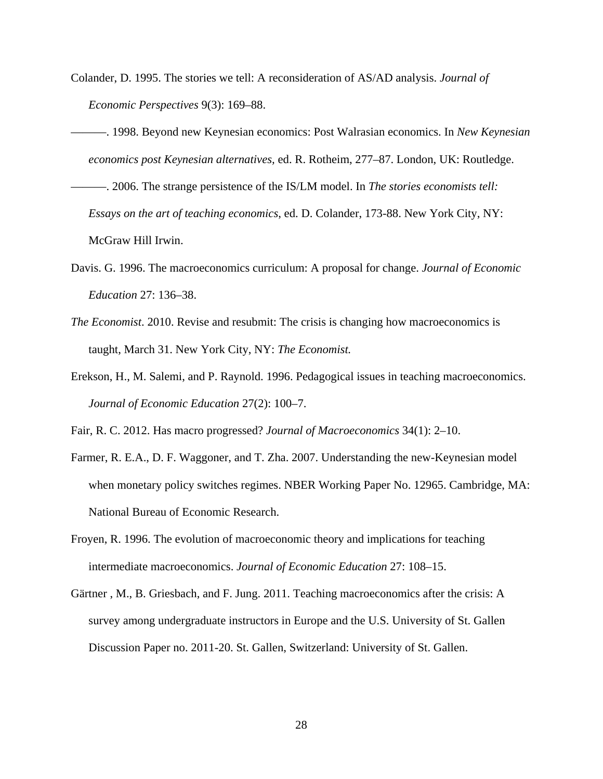- Colander, D. 1995. The stories we tell: A reconsideration of AS/AD analysis. *Journal of Economic Perspectives* 9(3): 169–88.
- ———. 1998. Beyond new Keynesian economics: Post Walrasian economics. In *New Keynesian economics post Keynesian alternatives,* ed. R. Rotheim, 277–87. London, UK: Routledge.
- ———. 2006. The strange persistence of the IS/LM model. In *The stories economists tell: Essays on the art of teaching economics*, ed. D. Colander, 173-88. New York City, NY: McGraw Hill Irwin.
- Davis. G. 1996. The macroeconomics curriculum: A proposal for change. *Journal of Economic Education* 27: 136–38.
- *The Economist*. 2010. Revise and resubmit: The crisis is changing how macroeconomics is taught, March 31. New York City, NY: *The Economist.*
- Erekson, H., M. Salemi, and P. Raynold. 1996. Pedagogical issues in teaching macroeconomics. *Journal of Economic Education* 27(2): 100–7.
- Fair, R. C. 2012. Has macro progressed? *Journal of Macroeconomics* 34(1): 2–10.
- Farmer, R. E.A., D. F. Waggoner, and T. Zha. 2007. Understanding the new-Keynesian model when monetary policy switches regimes. NBER Working Paper No. 12965. Cambridge, MA: National Bureau of Economic Research.
- Froyen, R. 1996. The evolution of macroeconomic theory and implications for teaching intermediate macroeconomics. *Journal of Economic Education* 27: 108–15.
- Gärtner , M., B. Griesbach, and F. Jung. 2011. Teaching macroeconomics after the crisis: A survey among undergraduate instructors in Europe and the U.S. University of St. Gallen Discussion Paper no. 2011-20. St. Gallen, Switzerland: University of St. Gallen.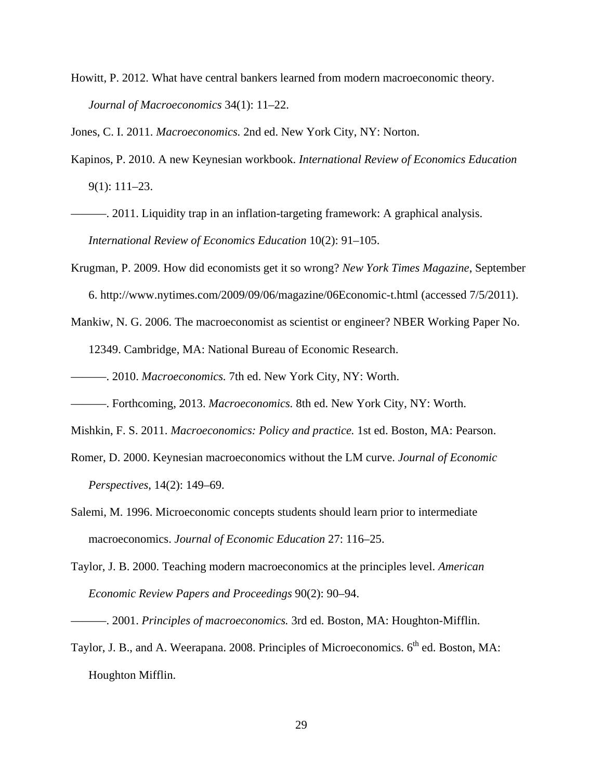Howitt, P. 2012. What have central bankers learned from modern macroeconomic theory. *Journal of Macroeconomics* 34(1): 11–22.

Jones, C. I. 2011. *Macroeconomics.* 2nd ed. New York City, NY: Norton.

- Kapinos, P. 2010. A new Keynesian workbook. *International Review of Economics Education* 9(1): 111–23.
- ———. 2011. Liquidity trap in an inflation-targeting framework: A graphical analysis. *International Review of Economics Education* 10(2): 91–105.
- Krugman, P. 2009. How did economists get it so wrong? *New York Times Magazine*, September 6. http://www.nytimes.com/2009/09/06/magazine/06Economic-t.html (accessed 7/5/2011).
- Mankiw, N. G. 2006. The macroeconomist as scientist or engineer? NBER Working Paper No. 12349. Cambridge, MA: National Bureau of Economic Research.

———. 2010. *Macroeconomics.* 7th ed. New York City, NY: Worth.

- ———. Forthcoming, 2013. *Macroeconomics.* 8th ed. New York City, NY: Worth.
- Mishkin, F. S. 2011. *Macroeconomics: Policy and practice.* 1st ed. Boston, MA: Pearson.
- Romer, D. 2000. Keynesian macroeconomics without the LM curve. *Journal of Economic Perspectives*, 14(2): 149–69.
- Salemi, M. 1996. Microeconomic concepts students should learn prior to intermediate macroeconomics. *Journal of Economic Education* 27: 116–25.
- Taylor, J. B. 2000. Teaching modern macroeconomics at the principles level. *American Economic Review Papers and Proceedings* 90(2): 90–94.

Taylor, J. B., and A. Weerapana. 2008. Principles of Microeconomics. 6<sup>th</sup> ed. Boston, MA: Houghton Mifflin.

<sup>———. 2001.</sup> *Principles of macroeconomics.* 3rd ed. Boston, MA: Houghton-Mifflin.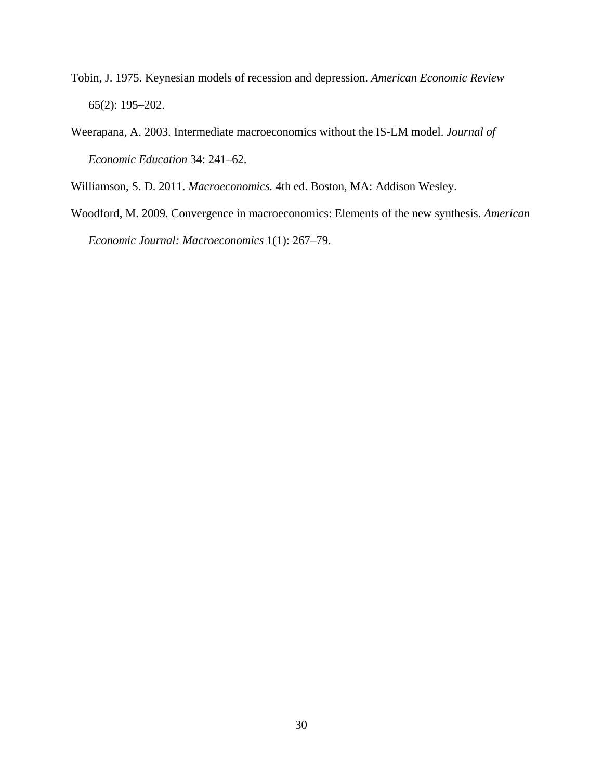- Tobin, J. 1975. Keynesian models of recession and depression. *American Economic Review* 65(2): 195–202.
- Weerapana, A. 2003. Intermediate macroeconomics without the IS-LM model. *Journal of Economic Education* 34: 241–62.

Williamson, S. D. 2011. *Macroeconomics.* 4th ed. Boston, MA: Addison Wesley.

Woodford, M. 2009. Convergence in macroeconomics: Elements of the new synthesis. *American Economic Journal: Macroeconomics* 1(1): 267–79.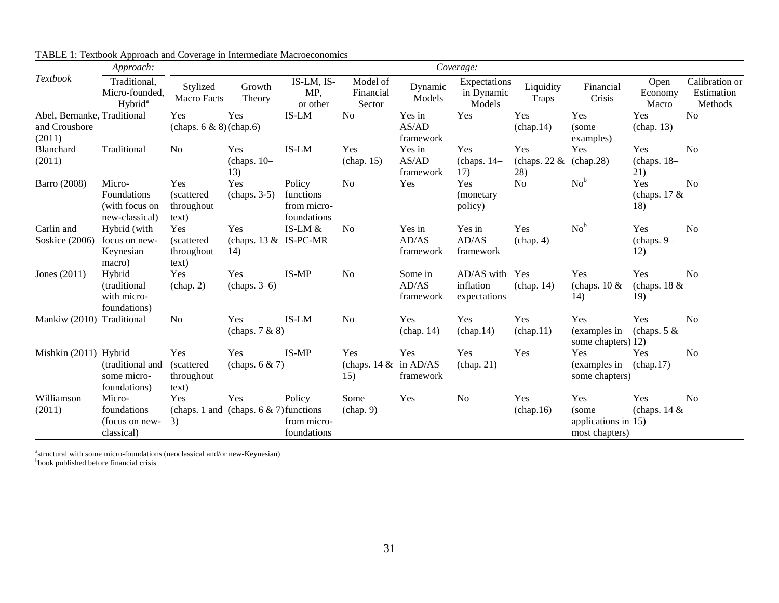|                                                        | Approach:                                                 | Coverage:                                 |                                                  |                                                   |                                               |                               |                                             |                               |                                                        |                              |                                         |
|--------------------------------------------------------|-----------------------------------------------------------|-------------------------------------------|--------------------------------------------------|---------------------------------------------------|-----------------------------------------------|-------------------------------|---------------------------------------------|-------------------------------|--------------------------------------------------------|------------------------------|-----------------------------------------|
| Textbook                                               | Traditional,<br>Micro-founded,<br>Hybrid <sup>a</sup>     | Stylized<br>Macro Facts                   | Growth<br>Theory                                 | IS-LM, IS-<br>MP,<br>or other                     | Model of<br>Financial<br>Sector               | Dynamic<br>Models             | Expectations<br>in Dynamic<br>Models        | Liquidity<br><b>Traps</b>     | Financial<br>Crisis                                    | Open<br>Economy<br>Macro     | Calibration or<br>Estimation<br>Methods |
| Abel, Bernanke, Traditional<br>and Croushore<br>(2011) |                                                           | Yes<br>(chaps. $6 \& 8$ )(chap. 6)        | Yes                                              | IS-LM                                             | N <sub>o</sub>                                | Yes in<br>AS/AD<br>framework  | Yes                                         | Yes<br>(char 14)              | Yes<br>(some<br>examples)                              | Yes<br>(chap. 13)            | N <sub>o</sub>                          |
| Blanchard<br>(2011)                                    | Traditional                                               | No                                        | Yes<br>(chaps. 10-<br>13)                        | IS-LM                                             | Yes<br>(char. 15)                             | Yes in<br>AS/AD<br>framework  | Yes<br>(chaps. 14-<br>17)                   | Yes<br>(chaps. $22 \&$<br>28) | Yes<br>(chap.28)                                       | Yes<br>(chaps. 18-<br>21)    | No                                      |
| Barro (2008)                                           | Micro-<br>Foundations<br>(with focus on<br>new-classical) | Yes<br>(scattered)<br>throughout<br>text) | Yes<br>$(chaps. 3-5)$                            | Policy<br>functions<br>from micro-<br>foundations | N <sub>o</sub>                                | Yes                           | Yes<br>(monetary<br>policy)                 | No                            | $No^b$                                                 | Yes<br>(chaps. $17 &$<br>18) | No                                      |
| Carlin and<br>Soskice (2006)                           | Hybrid (with<br>focus on new-<br>Keynesian<br>macro)      | Yes<br>(scattered)<br>throughout<br>text) | Yes<br>(chaps. $13 &$ IS-PC-MR<br>14)            | IS-LM &                                           | N <sub>0</sub>                                | Yes in<br>AD/AS<br>framework  | Yes in<br>AD/AS<br>framework                | Yes<br>(char, 4)              | $No^b$                                                 | Yes<br>(chaps. 9-<br>12)     | N <sub>0</sub>                          |
| Jones $(2011)$                                         | Hybrid<br>(traditional)<br>with micro-<br>foundations)    | Yes<br>(char 2)                           | Yes<br>(chaps. 3–6)                              | IS-MP                                             | N <sub>0</sub>                                | Some in<br>AD/AS<br>framework | AD/AS with Yes<br>inflation<br>expectations | (char 14)                     | Yes<br>(chaps. $10 \&$<br>14)                          | Yes<br>(chaps. $18 &$<br>19) | <b>No</b>                               |
| Mankiw (2010) Traditional                              |                                                           | No                                        | Yes<br>(chaps. 7 & 8)                            | IS-LM                                             | N <sub>o</sub>                                | <b>Yes</b><br>(char. 14)      | Yes<br>(char 14)                            | Yes<br>(char 11)              | Yes<br>(examples in<br>some chapters) 12)              | Yes<br>(chaps. $5 &$         | <b>No</b>                               |
| Mishkin (2011) Hybrid                                  | (traditional and<br>some micro-<br>foundations)           | Yes<br>(scattered)<br>throughout<br>text) | Yes<br>(chaps. $6 & 7$ )                         | IS-MP                                             | Yes<br>(chaps. $14 \& \text{in AD/AS}$<br>15) | Yes<br>framework              | Yes<br>(char 21)                            | Yes                           | Yes<br>(examples in<br>some chapters)                  | Yes<br>(chap.17)             | N <sub>0</sub>                          |
| Williamson<br>(2011)                                   | Micro-<br>foundations<br>(focus on new-<br>classical)     | Yes<br>3)                                 | Yes<br>(chaps. 1 and (chaps. $6 & 7$ ) functions | Policy<br>from micro-<br>foundations              | Some<br>(char 9)                              | Yes                           | N <sub>o</sub>                              | Yes<br>(char 16)              | Yes<br>(some)<br>applications in 15)<br>most chapters) | Yes<br>(chaps. $14 \&$       | N <sub>0</sub>                          |

TABLE 1: Textbook Approach and Coverage in Intermediate Macroeconomics

<sup>a</sup>structural with some micro-foundations (neoclassical and/or new-Keynesian)

bbook published before financial crisis